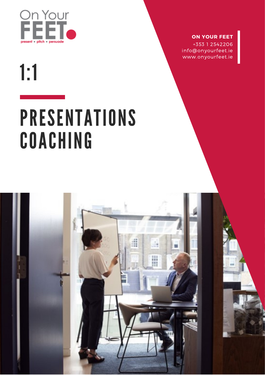

### **ON YOUR FEET**

+353 1 2542206 info@onyourfeet.ie www.onyourfeet.ie

 $1:1$ 

# PRESENTATIONS COACHING

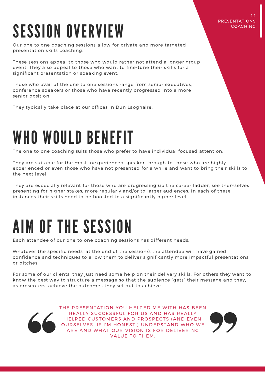#### 1:1 PRESENTATIONS **COACHINC**

## SESSION OVERVIEW

Our one to one coaching sessions allow for private and more targeted presentation skills coaching.

These sessions appeal to those who would rather not attend a longer group event. They also appeal to those who want to fine-tune their skills for a significant presentation or speaking event.

Those who avail of the one to one sessions range from senior executives, conference speakers or those who have recently progressed into a more senior position.

They typically take place at our offices in Dun Laoghaire.

### WHO WOULD BENEFIT

The one to one coaching suits those who prefer to have individual focused attention.

They are suitable for the most inexperienced speaker through to those who are highly experienced or even those who have not presented for a while and want to bring their skills to the next level.

They are especially relevant for those who are progressing up the career ladder, see themselves presenting for higher stakes, more regularly and/or to larger audiences. In each of these instances their skills need to be boosted to a significantly higher level.

## AIM OF THE SESSION

Each attendee of our one to one coaching sessions has different needs.

Whatever the specific needs, at the end of the session/s the attendee will have gained confidence and techniques to allow them to deliver significantly more impactful presentations or pitches.

For some of our clients, they just need some help on their delivery skills. For others they want to know the best way to structure a message so that the audience "gets" their message and they, as presenters, achieve the outcomes they set out to achieve.



THE PRESENTATION YOU HELPED ME WITH HAS BEEN REALLY SUCCESSFUL FOR US AND HAS REALLY HELPED CUSTOMERS AND PROSPECTS (AND EVEN OURSELVES, IF I'M HONEST!) UNDERSTAND WHO WE ARE AND WHAT OUR VISION IS FOR DELIVERING VALUE TO THEM.

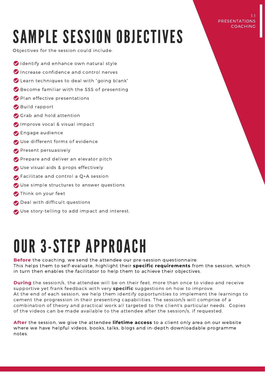#### 1:1 PRESENTATIONS COACHING

## SAMPLE SESSION OBJECTIVES

Objectives for the session could include:

- Identify and enhance own natural style
- **O** Increase confidence and control nerves
- Learn techniques to deal with "going blank"
- Become familiar with the SSS of presenting
- Plan effective presentations
- Build rapport
- Grab and hold attention
- Improve vocal & visual impact
- **B** Engage audience
- Use different forms of evidence
- **Present persuasively**
- Prepare and deliver an elevator pitch
- Use visual aids & props effectively
- Facilitate and control a Q+A session
- Use simple structures to answer questions
- Think on your feet
- Deal with difficult questions
- Use story-telling to add impact and interest.

## OUR 3-STEP APPROACH

**Before** the coaching, we send the attendee our pre-session questionnaire. This helps them to self-evaluate, highlight their **specific requirements** from the session, which in turn then enables the facilitator to help them to achieve their objectives.

**During** the session/s, the attendee will be on their feet, more than once to video and receive supportive yet frank feedback with very **specific** suggestions on how to improve. At the end of each session, we help them identify opportunities to implement the learnings to cement the progression in their presenting capabilities. The session/s will comprise of a combination of theory and practical work all targeted to the client's particular needs. Copies of the videos can be made available to the attendee after the session/s, if requested.

**After** the session, we give the attendee **lifetime access** to a client only area on our website where we have helpful videos, books, talks, blogs and in-depth downloadable programme notes.